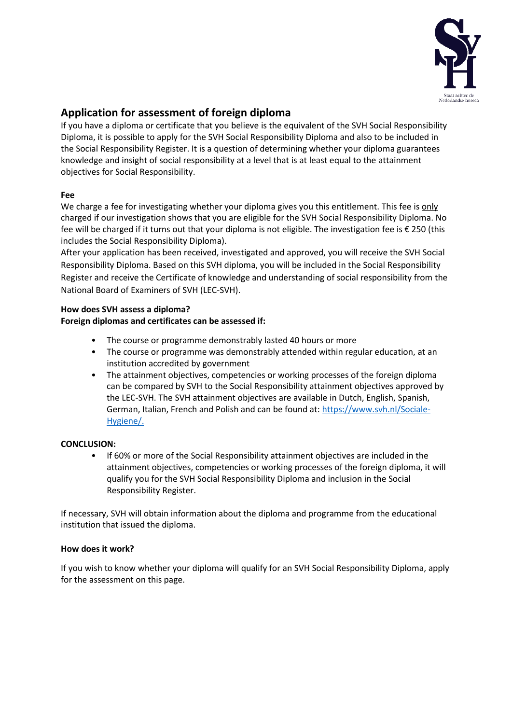

# **Application for assessment of foreign diploma**

If you have a diploma or certificate that you believe is the equivalent of the SVH Social Responsibility Diploma, it is possible to apply for the SVH Social Responsibility Diploma and also to be included in the Social Responsibility Register. It is a question of determining whether your diploma guarantees knowledge and insight of social responsibility at a level that is at least equal to the attainment objectives for Social Responsibility.

## **Fee**

We charge a fee for investigating whether your diploma gives you this entitlement. This fee is only charged if our investigation shows that you are eligible for the SVH Social Responsibility Diploma. No fee will be charged if it turns out that your diploma is not eligible. The investigation fee is € 250 (this includes the Social Responsibility Diploma).

After your application has been received, investigated and approved, you will receive the SVH Social Responsibility Diploma. Based on this SVH diploma, you will be included in the Social Responsibility Register and receive the Certificate of knowledge and understanding of social responsibility from the National Board of Examiners of SVH (LEC-SVH).

## **How does SVH assess a diploma? Foreign diplomas and certificates can be assessed if:**

- The course or programme demonstrably lasted 40 hours or more
- The course or programme was demonstrably attended within regular education, at an institution accredited by government
- The attainment objectives, competencies or working processes of the foreign diploma can be compared by SVH to the Social Responsibility attainment objectives approved by the LEC-SVH. The SVH attainment objectives are available in Dutch, English, Spanish, German, Italian, French and Polish and can be found at[: https://www.svh.nl/Sociale-](https://www.svh.nl/Sociale-Hygiene/)[Hygiene/.](https://www.svh.nl/Sociale-Hygiene/)

### **CONCLUSION:**

• If 60% or more of the Social Responsibility attainment objectives are included in the attainment objectives, competencies or working processes of the foreign diploma, it will qualify you for the SVH Social Responsibility Diploma and inclusion in the Social Responsibility Register.

If necessary, SVH will obtain information about the diploma and programme from the educational institution that issued the diploma.

### **How does it work?**

If you wish to know whether your diploma will qualify for an SVH Social Responsibility Diploma, apply for the assessment on this page.